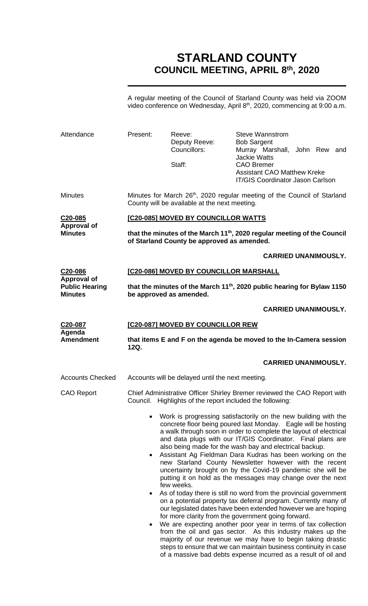# **STARLAND COUNTY COUNCIL MEETING, APRIL 8 th, 2020**

A regular meeting of the Council of Starland County was held via ZOOM video conference on Wednesday, April 8<sup>th</sup>, 2020, commencing at 9:00 a.m.

| Attendance                                                               | Present:                                                                                                                                                                                                                                                                                                                                                                                                                                                                                                                                                                                                                                                                                                                                                                                                                                                                                                                                                                                                                                                                                                                                                                                  | Reeve:<br>Deputy Reeve:<br>Councillors:<br>Staff: | <b>Steve Wannstrom</b><br><b>Bob Sargent</b><br>Murray Marshall, John Rew and<br><b>Jackie Watts</b><br><b>CAO Bremer</b><br><b>Assistant CAO Matthew Kreke</b><br><b>IT/GIS Coordinator Jason Carlson</b> |  |  |
|--------------------------------------------------------------------------|-------------------------------------------------------------------------------------------------------------------------------------------------------------------------------------------------------------------------------------------------------------------------------------------------------------------------------------------------------------------------------------------------------------------------------------------------------------------------------------------------------------------------------------------------------------------------------------------------------------------------------------------------------------------------------------------------------------------------------------------------------------------------------------------------------------------------------------------------------------------------------------------------------------------------------------------------------------------------------------------------------------------------------------------------------------------------------------------------------------------------------------------------------------------------------------------|---------------------------------------------------|------------------------------------------------------------------------------------------------------------------------------------------------------------------------------------------------------------|--|--|
| <b>Minutes</b>                                                           | Minutes for March 26 <sup>th</sup> , 2020 regular meeting of the Council of Starland<br>County will be available at the next meeting.                                                                                                                                                                                                                                                                                                                                                                                                                                                                                                                                                                                                                                                                                                                                                                                                                                                                                                                                                                                                                                                     |                                                   |                                                                                                                                                                                                            |  |  |
| C20-085<br>Approval of<br><b>Minutes</b>                                 | [C20-085] MOVED BY COUNCILLOR WATTS                                                                                                                                                                                                                                                                                                                                                                                                                                                                                                                                                                                                                                                                                                                                                                                                                                                                                                                                                                                                                                                                                                                                                       |                                                   |                                                                                                                                                                                                            |  |  |
|                                                                          | that the minutes of the March 11 <sup>th</sup> , 2020 regular meeting of the Council<br>of Starland County be approved as amended.                                                                                                                                                                                                                                                                                                                                                                                                                                                                                                                                                                                                                                                                                                                                                                                                                                                                                                                                                                                                                                                        |                                                   |                                                                                                                                                                                                            |  |  |
|                                                                          |                                                                                                                                                                                                                                                                                                                                                                                                                                                                                                                                                                                                                                                                                                                                                                                                                                                                                                                                                                                                                                                                                                                                                                                           |                                                   | <b>CARRIED UNANIMOUSLY.</b>                                                                                                                                                                                |  |  |
| C20-086<br><b>Approval of</b><br><b>Public Hearing</b><br><b>Minutes</b> | [C20-086] MOVED BY COUNCILLOR MARSHALL                                                                                                                                                                                                                                                                                                                                                                                                                                                                                                                                                                                                                                                                                                                                                                                                                                                                                                                                                                                                                                                                                                                                                    |                                                   |                                                                                                                                                                                                            |  |  |
|                                                                          | that the minutes of the March 11 <sup>th</sup> , 2020 public hearing for Bylaw 1150<br>be approved as amended.                                                                                                                                                                                                                                                                                                                                                                                                                                                                                                                                                                                                                                                                                                                                                                                                                                                                                                                                                                                                                                                                            |                                                   |                                                                                                                                                                                                            |  |  |
|                                                                          |                                                                                                                                                                                                                                                                                                                                                                                                                                                                                                                                                                                                                                                                                                                                                                                                                                                                                                                                                                                                                                                                                                                                                                                           |                                                   | <b>CARRIED UNANIMOUSLY.</b>                                                                                                                                                                                |  |  |
| C20-087                                                                  | [C20-087] MOVED BY COUNCILLOR REW                                                                                                                                                                                                                                                                                                                                                                                                                                                                                                                                                                                                                                                                                                                                                                                                                                                                                                                                                                                                                                                                                                                                                         |                                                   |                                                                                                                                                                                                            |  |  |
| Agenda<br><b>Amendment</b>                                               | that items E and F on the agenda be moved to the In-Camera session<br>12Q.                                                                                                                                                                                                                                                                                                                                                                                                                                                                                                                                                                                                                                                                                                                                                                                                                                                                                                                                                                                                                                                                                                                |                                                   |                                                                                                                                                                                                            |  |  |
|                                                                          |                                                                                                                                                                                                                                                                                                                                                                                                                                                                                                                                                                                                                                                                                                                                                                                                                                                                                                                                                                                                                                                                                                                                                                                           |                                                   | <b>CARRIED UNANIMOUSLY.</b>                                                                                                                                                                                |  |  |
| <b>Accounts Checked</b>                                                  |                                                                                                                                                                                                                                                                                                                                                                                                                                                                                                                                                                                                                                                                                                                                                                                                                                                                                                                                                                                                                                                                                                                                                                                           | Accounts will be delayed until the next meeting.  |                                                                                                                                                                                                            |  |  |
| <b>CAO Report</b>                                                        | Chief Administrative Officer Shirley Bremer reviewed the CAO Report with<br>Council. Highlights of the report included the following:                                                                                                                                                                                                                                                                                                                                                                                                                                                                                                                                                                                                                                                                                                                                                                                                                                                                                                                                                                                                                                                     |                                                   |                                                                                                                                                                                                            |  |  |
|                                                                          | Work is progressing satisfactorily on the new building with the<br>$\bullet$<br>concrete floor being poured last Monday. Eagle will be hosting<br>a walk through soon in order to complete the layout of electrical<br>and data plugs with our IT/GIS Coordinator. Final plans are<br>also being made for the wash bay and electrical backup.<br>Assistant Ag Fieldman Dara Kudras has been working on the<br>$\bullet$<br>new Starland County Newsletter however with the recent<br>uncertainty brought on by the Covid-19 pandemic she will be<br>putting it on hold as the messages may change over the next<br>few weeks.<br>As of today there is still no word from the provincial government<br>$\bullet$<br>on a potential property tax deferral program. Currently many of<br>our legislated dates have been extended however we are hoping<br>for more clarity from the government going forward.<br>We are expecting another poor year in terms of tax collection<br>$\bullet$<br>from the oil and gas sector. As this industry makes up the<br>majority of our revenue we may have to begin taking drastic<br>steps to ensure that we can maintain business continuity in case |                                                   |                                                                                                                                                                                                            |  |  |

of a massive bad debts expense incurred as a result of oil and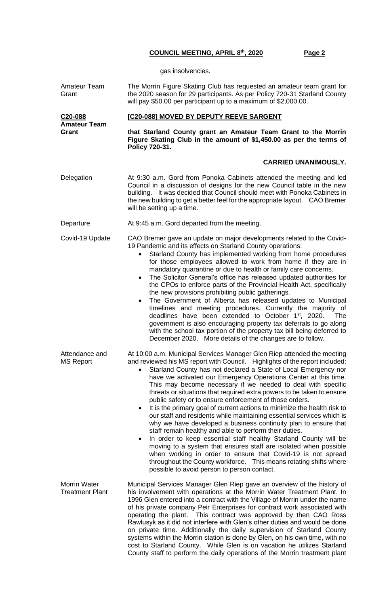gas insolvencies.

| Amateur Team<br>Grant                         | The Morrin Figure Skating Club has requested an amateur team grant for<br>the 2020 season for 29 participants. As per Policy 720-31 Starland County<br>will pay \$50.00 per participant up to a maximum of \$2,000.00.                                                                                                                                                                                                                                                                                                                                                                                                                                                                                                                                                                                                                                                                                                                                                                                                                                                                                                      |  |  |  |
|-----------------------------------------------|-----------------------------------------------------------------------------------------------------------------------------------------------------------------------------------------------------------------------------------------------------------------------------------------------------------------------------------------------------------------------------------------------------------------------------------------------------------------------------------------------------------------------------------------------------------------------------------------------------------------------------------------------------------------------------------------------------------------------------------------------------------------------------------------------------------------------------------------------------------------------------------------------------------------------------------------------------------------------------------------------------------------------------------------------------------------------------------------------------------------------------|--|--|--|
| C <sub>20</sub> -088                          | [C20-088] MOVED BY DEPUTY REEVE SARGENT                                                                                                                                                                                                                                                                                                                                                                                                                                                                                                                                                                                                                                                                                                                                                                                                                                                                                                                                                                                                                                                                                     |  |  |  |
| <b>Amateur Team</b><br>Grant                  | that Starland County grant an Amateur Team Grant to the Morrin<br>Figure Skating Club in the amount of \$1,450.00 as per the terms of<br>Policy 720-31.                                                                                                                                                                                                                                                                                                                                                                                                                                                                                                                                                                                                                                                                                                                                                                                                                                                                                                                                                                     |  |  |  |
|                                               | <b>CARRIED UNANIMOUSLY.</b>                                                                                                                                                                                                                                                                                                                                                                                                                                                                                                                                                                                                                                                                                                                                                                                                                                                                                                                                                                                                                                                                                                 |  |  |  |
| Delegation                                    | At 9:30 a.m. Gord from Ponoka Cabinets attended the meeting and led<br>Council in a discussion of designs for the new Council table in the new<br>building. It was decided that Council should meet with Ponoka Cabinets in<br>the new building to get a better feel for the appropriate layout. CAO Bremer<br>will be setting up a time.                                                                                                                                                                                                                                                                                                                                                                                                                                                                                                                                                                                                                                                                                                                                                                                   |  |  |  |
| Departure                                     | At 9:45 a.m. Gord departed from the meeting.                                                                                                                                                                                                                                                                                                                                                                                                                                                                                                                                                                                                                                                                                                                                                                                                                                                                                                                                                                                                                                                                                |  |  |  |
| Covid-19 Update                               | CAO Bremer gave an update on major developments related to the Covid-<br>19 Pandemic and its effects on Starland County operations:<br>Starland County has implemented working from home procedures<br>$\bullet$<br>for those employees allowed to work from home if they are in<br>mandatory quarantine or due to health or family care concerns.<br>The Solicitor General's office has released updated authorities for<br>$\bullet$<br>the CPOs to enforce parts of the Provincial Health Act, specifically<br>the new provisions prohibiting public gatherings.<br>The Government of Alberta has released updates to Municipal<br>timelines and meeting procedures. Currently the majority of<br>deadlines have been extended to October 1 <sup>st</sup> , 2020.<br>The<br>government is also encouraging property tax deferrals to go along<br>with the school tax portion of the property tax bill being deferred to<br>December 2020. More details of the changes are to follow.                                                                                                                                     |  |  |  |
| Attendance and<br><b>MS Report</b>            | At 10:00 a.m. Municipal Services Manager Glen Riep attended the meeting<br>and reviewed his MS report with Council. Highlights of the report included:<br>Starland County has not declared a State of Local Emergency nor<br>have we activated our Emergency Operations Center at this time.<br>This may become necessary if we needed to deal with specific<br>threats or situations that required extra powers to be taken to ensure<br>public safety or to ensure enforcement of those orders.<br>It is the primary goal of current actions to minimize the health risk to<br>our staff and residents while maintaining essential services which is<br>why we have developed a business continuity plan to ensure that<br>staff remain healthy and able to perform their duties.<br>In order to keep essential staff healthy Starland County will be<br>$\bullet$<br>moving to a system that ensures staff are isolated when possible<br>when working in order to ensure that Covid-19 is not spread<br>throughout the County workforce. This means rotating shifts where<br>possible to avoid person to person contact. |  |  |  |
| <b>Morrin Water</b><br><b>Treatment Plant</b> | Municipal Services Manager Glen Riep gave an overview of the history of<br>his involvement with operations at the Morrin Water Treatment Plant. In<br>1996 Glen entered into a contract with the Village of Morrin under the name<br>of his private company Peir Enterprises for contract work associated with<br>operating the plant. This contract was approved by then CAO Ross<br>Rawlusyk as it did not interfere with Glen's other duties and would be done<br>on private time. Additionally the daily supervision of Starland County<br>systems within the Morrin station is done by Glen, on his own time, with no<br>cost to Starland County. While Glen is on vacation he utilizes Starland<br>County staff to perform the daily operations of the Morrin treatment plant                                                                                                                                                                                                                                                                                                                                         |  |  |  |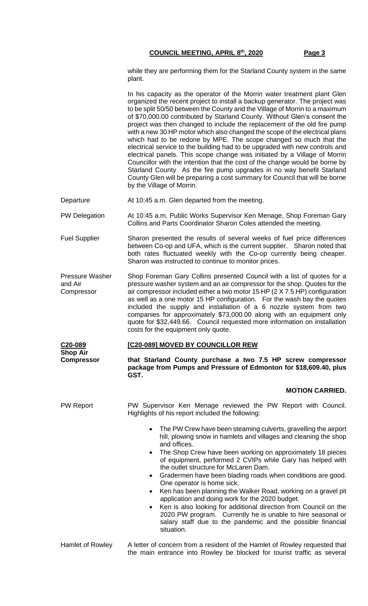while they are performing them for the Starland County system in the same plant.

|                                                 | In his capacity as the operator of the Morrin water treatment plant Glen<br>organized the recent project to install a backup generator. The project was<br>to be split 50/50 between the County and the Village of Morrin to a maximum<br>of \$70,000.00 contributed by Starland County. Without Glen's consent the                                                                                                                                                                                                                                                                                                                                         |  |  |
|-------------------------------------------------|-------------------------------------------------------------------------------------------------------------------------------------------------------------------------------------------------------------------------------------------------------------------------------------------------------------------------------------------------------------------------------------------------------------------------------------------------------------------------------------------------------------------------------------------------------------------------------------------------------------------------------------------------------------|--|--|
|                                                 | project was then changed to include the replacement of the old fire pump<br>with a new 30 HP motor which also changed the scope of the electrical plans<br>which had to be redone by MPE. The scope changed so much that the<br>electrical service to the building had to be upgraded with new controls and<br>electrical panels. This scope change was initiated by a Village of Morrin<br>Councillor with the intention that the cost of the change would be borne by<br>Starland County As the fire pump upgrades in no way benefit Starland<br>County Glen will be preparing a cost summary for Council that will be borne<br>by the Village of Morrin. |  |  |
| Departure                                       | At 10:45 a.m. Glen departed from the meeting.                                                                                                                                                                                                                                                                                                                                                                                                                                                                                                                                                                                                               |  |  |
| <b>PW Delegation</b>                            | At 10:45 a.m. Public Works Supervisor Ken Menage, Shop Foreman Gary<br>Collins and Parts Coordinator Sharon Coles attended the meeting.                                                                                                                                                                                                                                                                                                                                                                                                                                                                                                                     |  |  |
| <b>Fuel Supplier</b>                            | Sharon presented the results of several weeks of fuel price differences<br>between Co-op and UFA, which is the current supplier. Sharon noted that<br>both rates fluctuated weekly with the Co-op currently being cheaper.<br>Sharon was instructed to continue to monitor prices.                                                                                                                                                                                                                                                                                                                                                                          |  |  |
| <b>Pressure Washer</b><br>and Air<br>Compressor | Shop Foreman Gary Collins presented Council with a list of quotes for a<br>pressure washer system and an air compressor for the shop. Quotes for the<br>air compressor included either a two motor 15 HP (2 X 7.5 HP) configuration<br>as well as a one motor 15 HP configuration. For the wash bay the quotes<br>included the supply and installation of a 6 nozzle system from two<br>companies for approximately \$73,000.00 along with an equipment only<br>quote for \$32,449.66. Council requested more information on installation<br>costs for the equipment only quote.                                                                            |  |  |
| C20-089<br><b>Shop Air</b>                      | [C20-089] MOVED BY COUNCILLOR REW                                                                                                                                                                                                                                                                                                                                                                                                                                                                                                                                                                                                                           |  |  |
| <b>Compressor</b>                               | that Starland County purchase a two 7.5 HP screw compressor<br>package from Pumps and Pressure of Edmonton for \$18,609.40, plus<br>GST.                                                                                                                                                                                                                                                                                                                                                                                                                                                                                                                    |  |  |
|                                                 | <b>MOTION CARRIED.</b>                                                                                                                                                                                                                                                                                                                                                                                                                                                                                                                                                                                                                                      |  |  |
| <b>PW Report</b>                                | PW Supervisor Ken Menage reviewed the PW Report with Council.<br>Highlights of his report included the following:                                                                                                                                                                                                                                                                                                                                                                                                                                                                                                                                           |  |  |
|                                                 | The PW Crew have been steaming culverts, gravelling the airport<br>$\bullet$<br>hill, plowing snow in hamlets and villages and cleaning the shop<br>and offices.                                                                                                                                                                                                                                                                                                                                                                                                                                                                                            |  |  |
|                                                 | The Shop Crew have been working on approximately 18 pieces<br>of equipment, performed 2 CVIPs while Gary has helped with<br>the outlet structure for McLaren Dam.                                                                                                                                                                                                                                                                                                                                                                                                                                                                                           |  |  |
|                                                 | Gradermen have been blading roads when conditions are good.<br>One operator is home sick.                                                                                                                                                                                                                                                                                                                                                                                                                                                                                                                                                                   |  |  |
|                                                 | Ken has been planning the Walker Road, working on a gravel pit<br>$\bullet$<br>application and doing work for the 2020 budget.                                                                                                                                                                                                                                                                                                                                                                                                                                                                                                                              |  |  |
|                                                 | Ken is also looking for additional direction from Council on the<br>2020 PW program. Currently he is unable to hire seasonal or<br>salary staff due to the pandemic and the possible financial<br>situation.                                                                                                                                                                                                                                                                                                                                                                                                                                                |  |  |
|                                                 |                                                                                                                                                                                                                                                                                                                                                                                                                                                                                                                                                                                                                                                             |  |  |

Hamlet of Rowley A letter of concern from a resident of the Hamlet of Rowley requested that the main entrance into Rowley be blocked for tourist traffic as several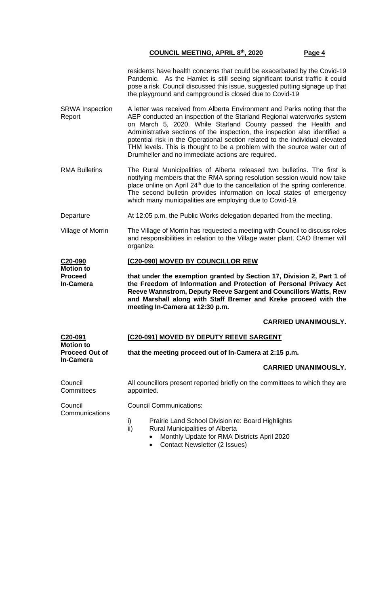|                                  | residents have health concerns that could be exacerbated by the Covid-19<br>Pandemic. As the Hamlet is still seeing significant tourist traffic it could<br>pose a risk. Council discussed this issue, suggested putting signage up that<br>the playground and campground is closed due to Covid-19                                                                                |
|----------------------------------|------------------------------------------------------------------------------------------------------------------------------------------------------------------------------------------------------------------------------------------------------------------------------------------------------------------------------------------------------------------------------------|
| <b>SRWA</b> Inspection<br>Report | A letter was received from Alberta Environment and Parks noting that the<br>AEP conducted an inspection of the Starland Regional waterworks system<br>on March 5, 2020. While Starland County passed the Health and<br>Administrative sections of the inspection, the inspection also identified a<br>potential risk in the Operational section related to the individual elevated |

THM levels. This is thought to be a problem with the source water out of

RMA Bulletins The Rural Municipalities of Alberta released two bulletins. The first is notifying members that the RMA spring resolution session would now take place online on April 24<sup>th</sup> due to the cancellation of the spring conference. The second bulletin provides information on local states of emergency which many municipalities are employing due to Covid-19.

Drumheller and no immediate actions are required.

- Departure At 12:05 p.m. the Public Works delegation departed from the meeting.
- Village of Morrin The Village of Morrin has requested a meeting with Council to discuss roles and responsibilities in relation to the Village water plant. CAO Bremer will organize.

#### **C20-090 [C20-090] MOVED BY COUNCILLOR REW**

**Motion to Proceed In-Camera that under the exemption granted by Section 17, Division 2, Part 1 of the Freedom of Information and Protection of Personal Privacy Act Reeve Wannstrom, Deputy Reeve Sargent and Councillors Watts, Rew and Marshall along with Staff Bremer and Kreke proceed with the meeting In-Camera at 12:30 p.m.**

# **CARRIED UNANIMOUSLY.**

**C20-091 Motion to Proceed Out of In-Camera [C20-091] MOVED BY DEPUTY REEVE SARGENT that the meeting proceed out of In-Camera at 2:15 p.m. CARRIED UNANIMOUSLY.** Council **Committees** 

All councillors present reported briefly on the committees to which they are appointed.

Council **Communications**  Council Communications:

- i) Prairie Land School Division re: Board Highlights
- ii) Rural Municipalities of Alberta
	- Monthly Update for RMA Districts April 2020
		- Contact Newsletter (2 Issues)